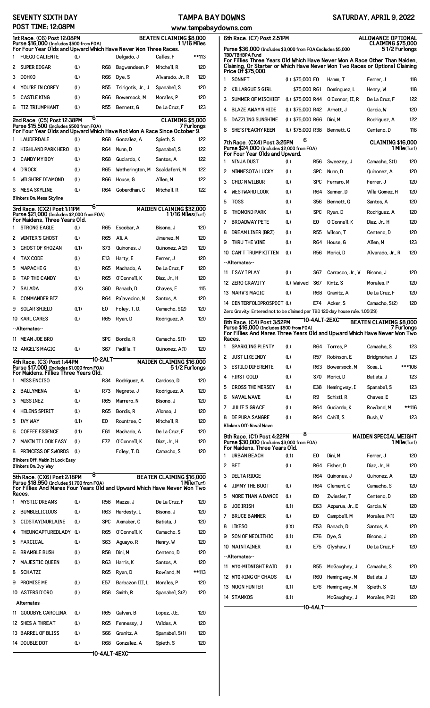## **SEVENTY SIXTH DAY POST TIME: 12:08PM**

## **TAMPA BAY DOWNS**

| SATURDAY, APRIL 9, 2022 |  |
|-------------------------|--|
|                         |  |

|                                                                                                                                                                                              | PUS I<br>TIME: 12:08PM                                                                                                           |      |            |                    |                                                      | www.tampabaj |
|----------------------------------------------------------------------------------------------------------------------------------------------------------------------------------------------|----------------------------------------------------------------------------------------------------------------------------------|------|------------|--------------------|------------------------------------------------------|--------------|
| 1st Race. (C6) Post 12:08PM<br><b>BEATEN CLAIMING \$8,000</b><br>Purse \$16,000 (Includes \$500 from FOA)<br>1 1/16 Miles<br>For Four Year Olds and Upward Which Have Never Won Three Races. |                                                                                                                                  |      |            |                    |                                                      |              |
| 1                                                                                                                                                                                            | <b>FUEGO CALIENTE</b>                                                                                                            | (L)  |            | Delgado, J         | Calles. F                                            | **113        |
| 2                                                                                                                                                                                            | <b>SUPER EDGAR</b>                                                                                                               | (L)  | R68        | Bagwandeen, P      | Mitchell, R                                          | 120          |
| 3                                                                                                                                                                                            | <b>DOHKO</b>                                                                                                                     | (L)  | R66        | Dye, S             | Alvarado, Jr., R                                     | 120          |
| 4                                                                                                                                                                                            | YOU'RE IN COREY                                                                                                                  | (L)  | <b>R55</b> | Tsirigotis, Jr., J | Spanabel, S                                          | 120          |
| 5                                                                                                                                                                                            | <b>CASTLE KING</b>                                                                                                               | (L)  | R66        | Bowersock, M       | Morales, P                                           | 120          |
| 6                                                                                                                                                                                            | <b>TIZ TRIUMPHANT</b>                                                                                                            | (L)  | <b>R55</b> | Bennett, G         | De La Cruz. F                                        | 123          |
|                                                                                                                                                                                              | 2nd Race. (C5) Post 12:38PM                                                                                                      | 6    |            |                    | <b>CLAIMING \$5,000</b>                              |              |
|                                                                                                                                                                                              | Purse \$15,500 (Includes \$500 from FOA)<br>For Four Year Olds and Upward Which Have Not Won A Race Since October 9.             |      |            |                    |                                                      | 7 Furlonas   |
| 1                                                                                                                                                                                            | <b>LAUDERDALE</b>                                                                                                                | (L)  | <b>R68</b> | Gonzalez, A        | Spieth, S                                            | 122          |
| 2                                                                                                                                                                                            | <b>HIGHLAND PARK HERO</b>                                                                                                        | (L)  | R64        | Nunn, D            | Spanabel, S                                          | 122          |
| 3                                                                                                                                                                                            | <b>CANDY MY BOY</b>                                                                                                              | (L)  | R68        | Guciardo, K        | Santos, A                                            | 122          |
| 4                                                                                                                                                                                            | <b>D'ROCK</b>                                                                                                                    | (L)  | R65        | Wetherington, M    | Scaldaferri, M                                       | 122          |
| 5                                                                                                                                                                                            | <b>WILSHIRE DIAMOND</b>                                                                                                          | (L)  | R66        | House, G           | Allen. M                                             | 122          |
| 6                                                                                                                                                                                            | <b>MESA SKYLINE</b>                                                                                                              | (L)  | <b>R64</b> | Goberdhan, C       | Mitchell R                                           | 122          |
|                                                                                                                                                                                              | Blinkers On: Mesa Skyline                                                                                                        |      |            |                    |                                                      |              |
|                                                                                                                                                                                              | 3rd Race. (CX2) Post 1:11PM<br>Purse \$21,000 (Includes \$2,000 from FOA)                                                        | 6    |            |                    | <b>MAIDEN CLAIMING \$32.000</b><br>11/16 Miles(Turf) |              |
|                                                                                                                                                                                              | For Maidens, Three Years Old.                                                                                                    |      |            |                    |                                                      |              |
| 1                                                                                                                                                                                            | <b>STRONG EAGLE</b>                                                                                                              | (L)  | R65        | Escobar, A         | Bisono. J                                            | 120          |
| 2                                                                                                                                                                                            | <b>WINTER'S GHOST</b>                                                                                                            | (L)  | R65        | Ali. A             | Jimenez, M                                           | 120          |
| 3                                                                                                                                                                                            | <b>GHOST OF KHOZAN</b>                                                                                                           | (L1) | S73        | Quinones, J        | Quinonez, A(2)                                       | 120          |
| 4                                                                                                                                                                                            | <b>TAX CODE</b>                                                                                                                  | (L)  | E13        | Harty, E           | Ferrer. J                                            | 120          |
| 5                                                                                                                                                                                            | <b>MAPACHE G</b>                                                                                                                 | (L)  | R65        | Machado, A         | De La Cruz, F                                        | 120          |
| 6                                                                                                                                                                                            | <b>TAP THE CANDY</b>                                                                                                             | (L)  | R65        | 0'Connell, K       | Diaz, Jr., H                                         | 120          |
| 7                                                                                                                                                                                            | <b>SALADA</b>                                                                                                                    | (LX) | <b>S60</b> | Banach, D          | Chaves. E                                            | 115          |
| 8                                                                                                                                                                                            | <b>COMMANDER BIZ</b>                                                                                                             |      | R64        | Palavecino, N      | Santos, A                                            | 120          |
| 9                                                                                                                                                                                            | <b>SOLAR SHIELD</b>                                                                                                              | (L1) | E0         | Foley, T.D.        | Camacho, S(2)                                        | 120          |
|                                                                                                                                                                                              | 10 KARL CARES                                                                                                                    | (L)  | <b>R65</b> | Ryan, D            | Rodriguez, A                                         | 120          |
|                                                                                                                                                                                              | --Alternates--                                                                                                                   |      |            |                    |                                                      |              |
|                                                                                                                                                                                              | 11 MEAN JOE BRO                                                                                                                  |      | SPC        | Bordis, R          | Camacho, S(1)                                        | 120          |
|                                                                                                                                                                                              | 12 ANGEL'S MAGIC                                                                                                                 | (L)  | S67        | Padilla, T         | Quinonez, A(1)                                       | 120          |
|                                                                                                                                                                                              | 4th Race. (C3) Post 1:44PM<br>Purse \$17,000 (Includes \$1,000 from F0A)                                                         |      | 10-2ALT    |                    | <b>MAIDEN CLAIMING \$16,000</b><br>51/2 Furlongs     |              |
| 1                                                                                                                                                                                            | For Maidens, Fillies Three Years Old.<br><b>MISS ENCISO</b>                                                                      |      | R34        | Rodriguez, A       | Cardoso. D                                           | 120          |
| 2                                                                                                                                                                                            | <b>BALLYMENA</b>                                                                                                                 | (L)  | R73        | Nearete, J         | Rodriguez, A                                         | 120          |
| 3                                                                                                                                                                                            | <b>MISS INEZ</b>                                                                                                                 | (L)  | R65        | Marrero, N         | Bisono, J                                            | 120          |
| 4                                                                                                                                                                                            | <b>HELENS SPIRIT</b>                                                                                                             | (L)  | <b>R65</b> | Bordis. R          | Alonso. J                                            | 120          |
| 5                                                                                                                                                                                            | <b>IVY WAY</b>                                                                                                                   | (L1) | E0         | Rountree, C        | Mitchell, R                                          | 120          |
| 6                                                                                                                                                                                            | <b>COFFEE ESSENCE</b>                                                                                                            | (L1) | E61        | Machado. A         | De La Cruz. F                                        | 120          |
| 7                                                                                                                                                                                            | <b>MAKIN IT LOOK EASY</b>                                                                                                        | (L)  | E72        | 0'Connell, K       | Diaz. Jr H                                           | 120          |
| 8                                                                                                                                                                                            | <b>PRINCESS OF SWORDS</b>                                                                                                        | (L)  |            | Foley, T.D.        | Camacho, S                                           | 120          |
|                                                                                                                                                                                              | Blinkers Off: Makin It Look Easy<br>Blinkers On: Ivy Way                                                                         |      |            |                    |                                                      |              |
|                                                                                                                                                                                              | 5th Race. (CX6) Post 2:18PM                                                                                                      | 8    |            |                    | <b>BEATEN CLAIMING \$16,000</b>                      |              |
|                                                                                                                                                                                              | Purse \$18,950 (Includes \$1,700 from FOA)<br>For Fillies And Mares Four Years Old and Upward Which Have Never Won Two<br>Races. |      |            |                    |                                                      | 1 Mile(Turf) |
| 1                                                                                                                                                                                            | <b>MYSTIC DREAMS</b>                                                                                                             | (L)  | R58        | Mazza. J           | De La Cruz. F                                        | 120          |
| 2                                                                                                                                                                                            | <b>BUMBLELICIOUS</b>                                                                                                             | (L)  | R63        | Hardesty, L        | Bisono. J                                            | 120          |
| 3                                                                                                                                                                                            | <b>CIDSTAYINURLAINE</b>                                                                                                          | (L)  | <b>SPC</b> | Axmaker. C         | Batista. J                                           | 120          |
| 4                                                                                                                                                                                            | <b>THEUNCAPTUREDLADY</b>                                                                                                         | (L)  | <b>R65</b> | 0'Connell, K       | Camacho, S                                           | 120          |
| 5                                                                                                                                                                                            | FARCICAL                                                                                                                         | (L)  | S63        | Aguayo, R          | Henry, W                                             | 120          |
| 6                                                                                                                                                                                            | <b>BRAMBLE BUSH</b>                                                                                                              | (L)  | R58        | Dini. M            | Centeno. D                                           | 120          |
| 7                                                                                                                                                                                            | <b>MAJESTIC QUEEN</b>                                                                                                            | (L)  | R63        | Harris, K          | Santos, A                                            | 120          |
| 8                                                                                                                                                                                            | <b>SCHATZI</b>                                                                                                                   |      | R65        | Ryan, D            | Rowland, M                                           | **113        |
| 9                                                                                                                                                                                            | PROMISE ME                                                                                                                       | (L)  | E57        | Barbazon III.L     | Morales, P                                           | 120          |
|                                                                                                                                                                                              | 10 ASTERS D'ORO                                                                                                                  | (L)  | <b>R58</b> | Smith, R           | Spanabel, S(2)                                       | 120          |
|                                                                                                                                                                                              | --Alternates--                                                                                                                   |      |            |                    |                                                      |              |
| 11                                                                                                                                                                                           | <b>GOODBYE CAROLINA</b>                                                                                                          | (L)  | R65        | Galvan, B          | Lopez, J.E.                                          | 120          |
|                                                                                                                                                                                              | 12 SHES A THREAT                                                                                                                 | (L)  | R65        | Fennessy, J        | Valdes. A                                            | 120          |
|                                                                                                                                                                                              | 13 BARREL OF BLISS                                                                                                               | (L)  | <b>S66</b> | Granitz, A         | Spanabel, S(1)                                       | 120          |

14 DOUBLE DOT (L) R68 Gonzalez, A Spieth, S 120 **10-4ALT-4EXC**

|    | 6th Race. (C7) Post 2:51PM<br>Purse \$36,000 (Includes \$3,000 from F0A)Includes \$5,000                                                                                            |                  |                 |                          | <b>ALLOWANCE OPTIONAL</b><br><b>CLAIMING \$75,000</b><br>5 1/2 Furlongs |                                                                                                                                                                             |
|----|-------------------------------------------------------------------------------------------------------------------------------------------------------------------------------------|------------------|-----------------|--------------------------|-------------------------------------------------------------------------|-----------------------------------------------------------------------------------------------------------------------------------------------------------------------------|
|    | <b>TBD/TBHBPA Fund</b><br>For Fillies Three Years Old Which Have Never Won A Race Other Than Maiden.<br>Claiming, Or Starter or Which Have Never Won Two Races or Optional Claiming |                  |                 |                          |                                                                         |                                                                                                                                                                             |
| 1  | Price Of \$75,000.<br><b>SONNET</b>                                                                                                                                                 | (L) \$75,000 EO  |                 | Hamm, T                  | Ferrer, J                                                               | 118                                                                                                                                                                         |
| 2  | <b>KILLARGUE'S GIRL</b>                                                                                                                                                             | \$75,000 R61     |                 | Dominguez, L             | Henry, W                                                                | 118                                                                                                                                                                         |
| 3  | SUMMER OF MISCHIEF                                                                                                                                                                  | (L) \$75,000 R44 |                 | 0'Connor, II, R          | De La Cruz, F                                                           | 122                                                                                                                                                                         |
| 4  | <b>BLAZE AWAY N HIDE</b>                                                                                                                                                            | (L) \$75,000 R42 |                 | Arnett. J                | Garcia, W                                                               | 120                                                                                                                                                                         |
| 5  | <b>DAZZLING SUNSHINE</b>                                                                                                                                                            | (L) \$75,000 R66 |                 | Dini. M                  | Rodriguez, A                                                            | 122                                                                                                                                                                         |
| 6  | <b>SHE'S PEACHY KEEN</b>                                                                                                                                                            | (L) \$75,000 R38 |                 | Bennett, G               | Centeno, D                                                              | 118                                                                                                                                                                         |
|    | 7th Race. (CX4) Post 3:25PM<br>Purse \$24,000 (Includes \$2,000 from FOA)                                                                                                           | 6                |                 |                          | <b>CLAIMING \$16,000</b>                                                | 1 Mile(Turf)                                                                                                                                                                |
| 1  | For Four Year Olds and Upward.<br><b>NINJA DUST</b>                                                                                                                                 | (L)              | R56             | Sweezey, J               | Camacho, S(1)                                                           | 120                                                                                                                                                                         |
| 2  | <b>MINNESOTA LUCKY</b>                                                                                                                                                              | (L)              | <b>SPC</b>      | Nunn, D                  | Ouinonez, A                                                             | 120                                                                                                                                                                         |
| 3  | <b>CHIC N WILBUR</b>                                                                                                                                                                | (L)              | <b>SPC</b>      | Ferraro, M               | Ferrer. J                                                               | 120                                                                                                                                                                         |
| 4  | <b>WESTWARD LOOK</b>                                                                                                                                                                | (L)              | R64             | Sanner, D                | Villa-Gomez, H                                                          | 120                                                                                                                                                                         |
| 5  | <b>TOSS</b>                                                                                                                                                                         | (L)              | <b>S56</b>      | Bennett, G               | Santos, A                                                               | 120                                                                                                                                                                         |
| 6  | <b>THOMOND PARK</b>                                                                                                                                                                 | (L)              | <b>SPC</b>      | Ryan, D                  | Rodriguez, A                                                            | 120                                                                                                                                                                         |
| 7  | <b>BROADWAY PETE</b>                                                                                                                                                                | (L)              | E0              | 0'Connell, K             | Diaz, Jr., H                                                            | 120                                                                                                                                                                         |
| 8  | DREAM LINER (BRZ)                                                                                                                                                                   | (L)              | R <sub>55</sub> | Wilson, T                | Centeno, D                                                              | 120                                                                                                                                                                         |
| 9  | THRU THE VINE                                                                                                                                                                       | (L)              | R64             | House, G                 | Allen. M                                                                | 123                                                                                                                                                                         |
|    | 10 CAN'T TRUMP KITTEN                                                                                                                                                               | (L)              | <b>R56</b>      | Morici, D                | Alvarado, Jr., R                                                        | 120                                                                                                                                                                         |
|    | --Alternates--                                                                                                                                                                      |                  |                 |                          |                                                                         |                                                                                                                                                                             |
| 11 | ISAYIPLAY                                                                                                                                                                           | (L)              | S67             | Carrasco, Jr., V         | Bisono, J                                                               | 120                                                                                                                                                                         |
|    |                                                                                                                                                                                     | (L) Waived       | S67             | Kintz, S                 | Morales, P                                                              | 120                                                                                                                                                                         |
|    | 12 ZERO GRAVITY                                                                                                                                                                     |                  |                 |                          |                                                                         |                                                                                                                                                                             |
|    | 13 MARV'S MAGIC                                                                                                                                                                     | (L)              | R68             | Granitz, A               | De La Cruz, F                                                           |                                                                                                                                                                             |
|    | 14 CENTERFOLDPROSPECT (L)<br>Zero Gravity: Entered not to be claimed per TBD 120 day house rule. 1.05(29)<br>8th Race. (C4) Post 3:52PM<br>Purse \$16,000 (Includes \$500 from FOA) |                  | E74             | Acker, S<br>10-4ALT-2EXC | Camacho, S(2)<br><b>BEATEN CLAIMING \$8.000</b><br>7 Fur1onas           |                                                                                                                                                                             |
|    | For Fillies And Mares Three Years Old and Upward Which Have Never Won Two<br>Kaces.                                                                                                 |                  |                 |                          |                                                                         |                                                                                                                                                                             |
| 1  | <b>SPARKLING PLENTY</b>                                                                                                                                                             | (L)              | R64             | Torres, P                | Camacho, S                                                              |                                                                                                                                                                             |
| 2  | <b>JUST LIKE INDY</b>                                                                                                                                                               | (L)              | <b>R57</b>      | Robinson. E              | Bridgmohan, J                                                           |                                                                                                                                                                             |
| 3  | <b>ESTILO DIFERENTE</b>                                                                                                                                                             | (L)              | R63             | Bowersock, M             | Sosa, L                                                                 |                                                                                                                                                                             |
| 4  | <b>FIRST GOLD</b>                                                                                                                                                                   | (L)              | S70             | Morici, D                | Batista, J                                                              |                                                                                                                                                                             |
| 5  | <b>CROSS THE MERSEY</b>                                                                                                                                                             | (L)              | E38             | Hemingway, I             | Spanabel, S                                                             |                                                                                                                                                                             |
| 6  | <b>NAVAL WAVE</b>                                                                                                                                                                   | (L)              | R9              | Schist1, R               | Chaves, E                                                               |                                                                                                                                                                             |
| 7  | <b>JULIE'S GRACE</b>                                                                                                                                                                | (L)              | R64             | Guciardo, K              | Rowland, M                                                              |                                                                                                                                                                             |
| 8  | <b>DE PURA SANGRE</b><br>Blinkers Off: Naval Wave                                                                                                                                   | (L)              | <b>R64</b>      | Cahill, S                | Bush, V                                                                 |                                                                                                                                                                             |
|    | 9th Race. (C1) Post 4:22PM<br>Purse \$30,000 (Includes \$3,000 from FOA)<br>For Maidens, Three Years Old.                                                                           | 8                |                 |                          | <b>MAIDEN SPECIAL WEIGHT</b>                                            |                                                                                                                                                                             |
| 1  | <b>URBAN BEACH</b>                                                                                                                                                                  | (L1)             | E0              | Dini, M                  | Ferrer, J                                                               |                                                                                                                                                                             |
| 2  | <b>BET</b>                                                                                                                                                                          | (L)              | R64             | Fisher, D                | Diaz, Jr., H                                                            |                                                                                                                                                                             |
| 3  | <b>DELTA RIDGE</b>                                                                                                                                                                  |                  | R64             | Quinones, J              | Quinonez, A                                                             |                                                                                                                                                                             |
| 4  | JIMMY THE BOOT                                                                                                                                                                      | (L)              | <b>R64</b>      | Clement, C               | Camacho, S                                                              |                                                                                                                                                                             |
| 5  | <b>MORE THAN A DANCE</b>                                                                                                                                                            | (L)              | E0              | Zwiesler, T              | Centeno, D                                                              |                                                                                                                                                                             |
| 6  | <b>JOE IRISH</b>                                                                                                                                                                    | (L1)             | E63             | Azpurua, Jr., E          | Garcia, W                                                               |                                                                                                                                                                             |
| 7  | <b>BRUCE BANNER</b>                                                                                                                                                                 | (L)              | E0              | Campbell, M              | Morales, P(1)                                                           |                                                                                                                                                                             |
| 8  | <b>LIKESO</b>                                                                                                                                                                       | (LX)             | E53             | Banach, D                | Santos, A                                                               |                                                                                                                                                                             |
| 9  | <b>SON OF NEOLITHIC</b>                                                                                                                                                             | (L1)             | E76             | Dye, S                   | Bisono, J                                                               |                                                                                                                                                                             |
|    | 10 MAINTAINER                                                                                                                                                                       | (L)              | E75             | Glyshaw, T               | De La Cruz, F                                                           |                                                                                                                                                                             |
|    | --Alternates--                                                                                                                                                                      |                  |                 |                          |                                                                         |                                                                                                                                                                             |
|    | 11 MTO-MIDNIGHT RAID                                                                                                                                                                | (L)              | R <sub>55</sub> | McGaughey, J             | Camacho, S                                                              |                                                                                                                                                                             |
|    | 12 MTO-KING OF CHAOS                                                                                                                                                                | (L)              | <b>R60</b>      | Hemingway, M             | Batista, J                                                              | 120<br>120<br>123<br>123<br>***108<br>123<br>123<br>123<br>**116<br>123<br>1 Mile(Turf)<br>120<br>120<br>120<br>120<br>120<br>120<br>120<br>120<br>120<br>120<br>120<br>120 |
|    | 13 MOON HUNTER                                                                                                                                                                      | (L1)             | E76             | Hemingway, M             | Spieth, S                                                               | 120                                                                                                                                                                         |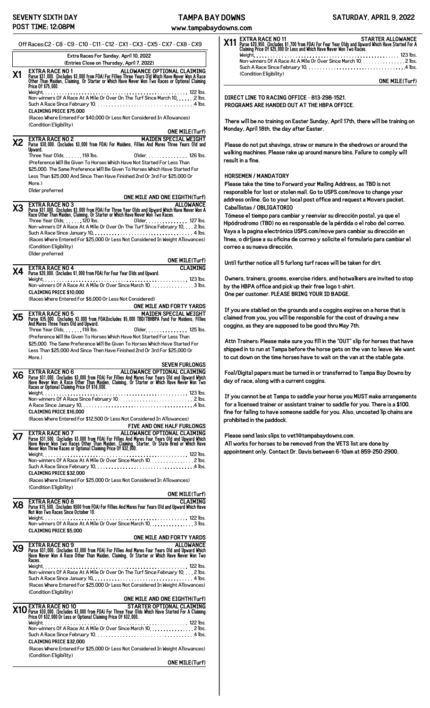www.tampabayd

|           | Off Races:C2 - C8 - C9 - C10 - C11 - C12 - CX1 - CX3 - CX5 - CX7 - CX8 - CX9                                                                                                                                                                                                                          | ᅜ<br>X11<br><b>Purso</b><br>Clain        |
|-----------|-------------------------------------------------------------------------------------------------------------------------------------------------------------------------------------------------------------------------------------------------------------------------------------------------------|------------------------------------------|
|           | Extra Races For Sunday, April 10, 2022<br>(Entries Close on Thursday, April 7, 2022)                                                                                                                                                                                                                  | Weid<br>Non                              |
| X1        | ALLOWANCE OPTIONAL CLAIMING<br><b>EXTRA RACE NO 1</b><br>Purse \$31,000. (Includes \$3,000 from FOA) For Fillies Three Years Old Which Have Never Won A Race<br>Other Than Maiden, Claiming, Or Starter or Which Have Never Won Two Races or Optional Claiming<br>Price Of \$75,000.                  | Sucl<br>(Cor                             |
|           | Non-winners Of A Race At A Mile Or Over On The Turf Since March 10, 2 lbs.<br>Such A Race Since February 10. $\dots\dots\dots\dots\dots\dots\dots\dots\dots\dots\dots$ . 4 lbs.<br><b>CLAIMING PRICE \$75.000</b><br>(Races Where Entered For \$40,000 Or Less Not Considered In Allowances)          | <b>DIRECT L</b><br><b>PROGRAM</b>        |
|           | (Condition Eligibility)<br><b>ONE MILE(Turf)</b>                                                                                                                                                                                                                                                      | There wil<br>Monday, A                   |
| Х2        | <b>MAIDEN SPECIAL WEIGHT</b><br><b>EXTRA RACE NO 2</b><br>Purse \$30,000. (Includes \$3,000 from FOA) For Maidens, Fillies And Mares Three Years Old and                                                                                                                                              | Please do                                |
|           | Upward.<br>Three Year Olds. 118 lbs.<br>Older. 126 lbs.                                                                                                                                                                                                                                               | walking ma                               |
|           | (Preference Will Be Given To Horses Which Have Not Started For Less Than<br>\$25,000. The Same Preference Will Be Given To Horses Which Have Started For                                                                                                                                              | result in a                              |
|           | Less Than \$25,000 And Since Then Have Finished 2nd Or 3rd For \$25,000 Or<br>More.)                                                                                                                                                                                                                  | <b>HORSEME</b>                           |
|           | Older preferred                                                                                                                                                                                                                                                                                       | Please tal<br>responsib                  |
|           | ONE MILE AND ONE EIGHTH(Turf)                                                                                                                                                                                                                                                                         | address o                                |
| X3        | <b>EXTRA RACE NO 3</b><br><b>ALLOWANCE</b><br>Purse \$31,000. (Includes \$3,000 from FOA) For Three Year Olds and Upward Which Have Never Won A                                                                                                                                                       | Caballista                               |
|           | Race Other Than Maiden, Claiming, Or Starter or Which Have Never Won Two Races.<br>Three Year Olds. 120 lbs.<br>Older. 127 lbs.                                                                                                                                                                       | Tómese e                                 |
|           | Non-winners Of A Race At A Mile Or Over On The Turf Since February 10. 2 lbs.                                                                                                                                                                                                                         | Hipódrodr                                |
|           |                                                                                                                                                                                                                                                                                                       | Vaya a la j<br>línea, o di               |
|           | (Races Where Entered For \$25,000 Or Less Not Considered In Weight Allowances)<br>(Condition Eligibility)                                                                                                                                                                                             | correo a s                               |
|           | Older preferred                                                                                                                                                                                                                                                                                       |                                          |
|           | <b>ONE MILE(Turf)</b>                                                                                                                                                                                                                                                                                 | Until furtl                              |
| X4        | <b>CLAIMING</b><br><b>EXTRA RACE NO 4</b><br>Purse \$20,000. (Includes \$1,000 from FOA) For Four Year Olds and Upward.                                                                                                                                                                               |                                          |
|           | Non-winners Of A Race At A Mile Or Over Since March 10. 3 lbs.                                                                                                                                                                                                                                        | Owners, t                                |
|           | <b>CLAIMING PRICE \$10.000</b>                                                                                                                                                                                                                                                                        | by the HB<br>One per c                   |
|           | (Races Where Entered For \$8,000 Or Less Not Considered)                                                                                                                                                                                                                                              |                                          |
|           | ONE MILE AND FORTY YARDS<br>MAIDEN SPECIAL WEIGHT<br><b>EXTRA RACE NO 5</b>                                                                                                                                                                                                                           | If you are                               |
| Х5        | Purse \$35,000. (Includes \$3,000 from FOA)Includes \$5,000 TBD/TBHBPA Fund For Maidens, Fillies<br>And Mares Three Years Old and Upward.<br>Three Year Olds118 lbs.<br>Older. 125 lbs.                                                                                                               | claimed fr<br>coggins, a                 |
|           | (Preference Will Be Given To Horses Which Have Not Started For Less Than                                                                                                                                                                                                                              |                                          |
|           | \$25,000. The Same Preference Will Be Given To Horses Which Have Started For                                                                                                                                                                                                                          | <b>Attn Trair</b>                        |
|           | Less Than \$25,000 And Since Then Have Finished 2nd Or 3rd For \$25,000 Or<br>More.)                                                                                                                                                                                                                  | shipped in<br>to cut dov                 |
|           | <b>SEVEN FURLONGS</b>                                                                                                                                                                                                                                                                                 |                                          |
| <b>X6</b> | <b>ALLOWANCE OPTIONAL CLAIMING</b><br><b>EXTRA RACE NO 6</b><br>Purse \$31,000. (Includes \$3,000 from FOA) For Fillies And Mares Four Years 01d and Upward Which<br>Have Never Won A Race Other Than Maiden, Claiming, Or Starter or Which Have Never Won Two<br>Races or Optional Claiming Price Of | <b>Foal/Digit</b><br>day of rad          |
|           | <b>CLAIMING PRICE \$16.000</b>                                                                                                                                                                                                                                                                        | If you car<br>for a licer<br>fine for fa |
|           | (Races Where Entered For \$12,500 Or Less Not Considered In Allowances)<br><b>FIVE AND ONE HALF FURLONGS</b>                                                                                                                                                                                          | prohibited                               |
| Х7        | EXTRA RACE NO 7<br>ALLOWANCE OPTIONAL CLAIMING<br>Purse \$31,500. (Includes \$3,000 from FOA) For Fillies And Mares Four Years Old and Upward Which<br>Have Never Won Two Races Other Than Maiden, Claiming, Starter, Or State Bred or Which Have<br>Never Won Three Races or Optional C              | Please se<br>All works<br>appointme      |
|           | Non-winners Of A Race At A Mile Or Over Since March 10. 2 lbs.                                                                                                                                                                                                                                        |                                          |
|           | <b>CLAIMING PRICE \$32.000</b><br>(Races Where Entered For \$25,000 Or Less Not Considered In Allowances)                                                                                                                                                                                             |                                          |
|           | (Condition Eligibility)                                                                                                                                                                                                                                                                               |                                          |
|           | <b>ONE MILE(Turf)</b><br><u> 1980 - Johann Barn, mars ann an t-Amhair Aonaich an t-Aonaich an t-Aonaich ann an t-Aonaich ann an t-Aonaich</u><br><b>EXTRA RACE NO 8</b><br><b>CLAIMING</b>                                                                                                            |                                          |
| Х8        | Purse \$15,500. (Includes \$500 from FOA) For Fillies And Mares Four Years Old and Upward Which Have<br>Not Won Two Races Since October 10.                                                                                                                                                           |                                          |
|           | Non-winners Of A Race At A Mile Or Over Since March 10. 3 lbs.<br><b>CLAIMING PRICE \$5,000</b>                                                                                                                                                                                                       |                                          |
|           | ONE MILE AND FORTY YARDS                                                                                                                                                                                                                                                                              |                                          |
| Х9        | <b>ALLOWANCE</b><br>EXTRA RACE NO 9<br>Purse \$31,000. (Includes \$3,000 from FOA) For Fillies And Mares Four Years Old and Upward Which<br>Have Never Won A Race Other Than Maiden, Claiming, Or Starter or Which Have Never Won Two<br>Races.                                                       |                                          |
|           | Non-winners Of A Race At A Mile Or Over On The Turf Since February 10. 2 lbs.                                                                                                                                                                                                                         |                                          |
|           |                                                                                                                                                                                                                                                                                                       |                                          |
|           | (Races Where Entered For \$25,000 Or Less Not Considered In Weight Allowances)<br>(Condition Eligibility)                                                                                                                                                                                             |                                          |
|           | ONE MILE AND ONE EIGHTH(Turf)                                                                                                                                                                                                                                                                         |                                          |
|           | STARTER OPTIONAL CLAIMING<br>2010 Purse \$30,000. (Includes \$3,000 from FOA) For Three Year Olds Which Have Started For A Claiming<br>200 Price Of \$32,000 Or Less or Optional Claiming Price Of \$32,000.                                                                                          |                                          |
|           | Non-winners Of A Race At A Mile Or Over Since March 10. 2 lbs.                                                                                                                                                                                                                                        |                                          |
|           | <b>CLAIMING PRICE \$32,000</b><br>(Races Where Entered For \$25,000 Or Less Not Considered In Weight Allowances)                                                                                                                                                                                      |                                          |
|           | (Condition Eligibility)<br><b>ONE MILE(Turf)</b>                                                                                                                                                                                                                                                      |                                          |
|           |                                                                                                                                                                                                                                                                                                       |                                          |

| DOWNS           |                                                                                                                                                                                                                                                                                                                                                                | SATURDAY, APRIL 9, 2022  |
|-----------------|----------------------------------------------------------------------------------------------------------------------------------------------------------------------------------------------------------------------------------------------------------------------------------------------------------------------------------------------------------------|--------------------------|
|                 | lowns.com                                                                                                                                                                                                                                                                                                                                                      |                          |
| X <sub>11</sub> | <b>EXTRA RACE NO 11</b><br>Purse \$20,950. (Includes \$1,700 from FOA) For Four Year Olds and Upward Which Have Started For A<br>Claiming Price Of \$25,000 Or Less and Which Have Never Won Two Races.<br>Such A Race Since February 10. $\dots\dots\dots\dots\dots\dots\dots\dots\dots\dots\dots$ . 4 lbs.<br>(Condition Eligibility)                        | <b>STARTER ALLOWANCE</b> |
|                 |                                                                                                                                                                                                                                                                                                                                                                | <b>ONE MILE(Turf)</b>    |
|                 | PROGRAMS ARE HANDED OUT AT THE HBPA OFFICE.<br>There will be no training on Easter Sunday, April 17th, there will be training on<br>Monday, April 18th, the day after Easter.<br>Please do not put shavings, straw or manure in the shedrows or around the<br>walking machines. Please rake up around manure bins. Failure to comply will<br>result in a fine. |                          |
|                 | <b>HORSFMEN / MANDATORY</b>                                                                                                                                                                                                                                                                                                                                    |                          |
|                 | Please take the time to Forward your Mailing Address, as TBD is not                                                                                                                                                                                                                                                                                            |                          |
|                 | responsible for lost or stolen mail. Go to USPS.com/move to change your<br>address online. Go to your local post office and request a Movers packet.<br>Caballistas / OBLIGATORIO                                                                                                                                                                              |                          |
|                 | Tómese el tiempo para cambiar y reenviar su dirección postal, ya que el                                                                                                                                                                                                                                                                                        |                          |
|                 |                                                                                                                                                                                                                                                                                                                                                                |                          |

**Hipódrodromo (TBD) no es responsable de la pérdida o el robo del correo. Vaya a la pagina electrónica USPS.com/move para cambiar su dirección en línea, o diríjase a su oficina de correo y solicite el formulario para cambiar el correo a su nueva dirección.**

**Until further notice all 5 furlong turf races will be taken for dirt.**

**Owners, trainers, grooms, exercise riders, and hotwalkers are invited to stop by the HBPA office and pick up their free logo t-shirt. One per customer. PLEASE BRING YOUR ID BADGE.**

**If you are stabled on the grounds and a coggins expires on a horse that is claimed from you, you will be responsible for the cost of drawing a new coggins, as they are supposed to be good thru May 7th.**

**Attn Trainers: Please make sure you fill in the "OUT" slip for horses that have shipped in to run at Tampa before the horse gets on the van to leave. We want to cut down on the time horses have to wait on the van at the stable gate.**

**Foal/Digital papers must be turned in or transferred to Tampa Bay Downs by day of race, along with a current coggins.**

**If you cannot be at Tampa to saddle your horse you MUST make arrangements for a licensed trainer or assistant trainer to saddle for you. There is a \$100. fine for failing to have someone saddle for you. Also, uncoated lip chains are d** in the paddock.

**Please send lasix slips to vet1@tampabaydowns.com.** for horses to be removed from the VETS list are done by **appointment only. Contact Dr. Davis between 6-10am at 859-250-2900.**